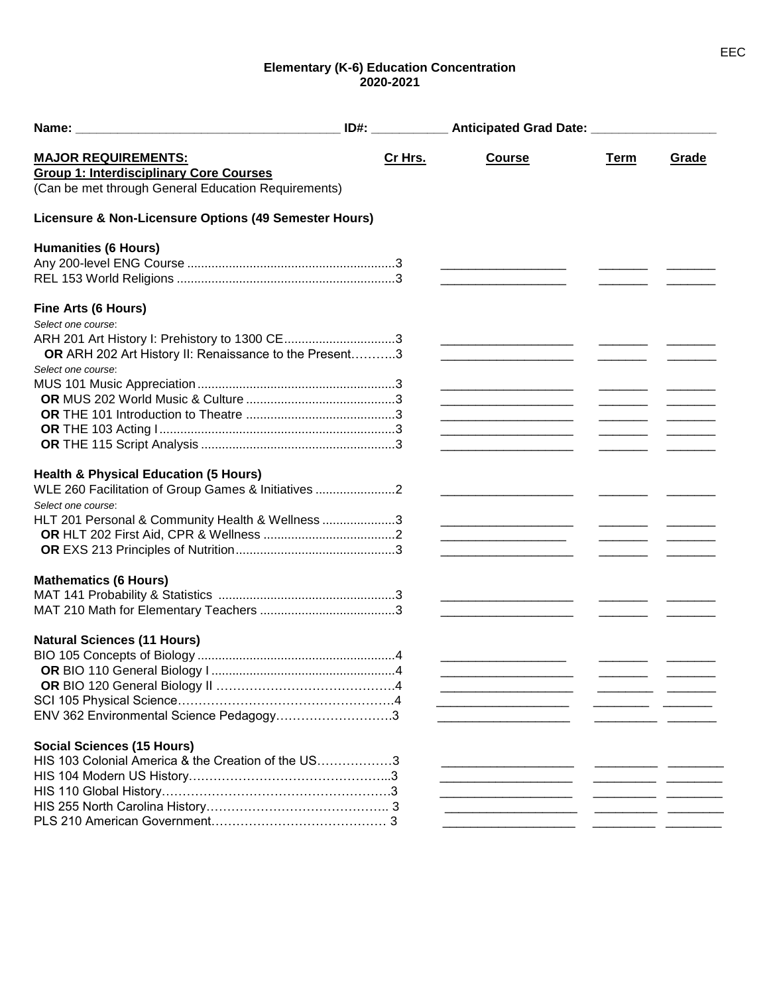## **Elementary (K-6) Education Concentration 2020-2021**

| <b>MAJOR REQUIREMENTS:</b>                             | Cr Hrs. | <b>Course</b>                                                                                                         | Term                                                                                                                                                                                                                                                                                                                                                                                                                                                     | Grade |
|--------------------------------------------------------|---------|-----------------------------------------------------------------------------------------------------------------------|----------------------------------------------------------------------------------------------------------------------------------------------------------------------------------------------------------------------------------------------------------------------------------------------------------------------------------------------------------------------------------------------------------------------------------------------------------|-------|
| <b>Group 1: Interdisciplinary Core Courses</b>         |         |                                                                                                                       |                                                                                                                                                                                                                                                                                                                                                                                                                                                          |       |
| (Can be met through General Education Requirements)    |         |                                                                                                                       |                                                                                                                                                                                                                                                                                                                                                                                                                                                          |       |
| Licensure & Non-Licensure Options (49 Semester Hours)  |         |                                                                                                                       |                                                                                                                                                                                                                                                                                                                                                                                                                                                          |       |
| <b>Humanities (6 Hours)</b>                            |         |                                                                                                                       |                                                                                                                                                                                                                                                                                                                                                                                                                                                          |       |
|                                                        |         |                                                                                                                       |                                                                                                                                                                                                                                                                                                                                                                                                                                                          |       |
|                                                        |         |                                                                                                                       |                                                                                                                                                                                                                                                                                                                                                                                                                                                          |       |
| Fine Arts (6 Hours)                                    |         |                                                                                                                       |                                                                                                                                                                                                                                                                                                                                                                                                                                                          |       |
| Select one course:                                     |         |                                                                                                                       |                                                                                                                                                                                                                                                                                                                                                                                                                                                          |       |
| ARH 201 Art History I: Prehistory to 1300 CE3          |         |                                                                                                                       |                                                                                                                                                                                                                                                                                                                                                                                                                                                          |       |
| OR ARH 202 Art History II: Renaissance to the Present3 |         |                                                                                                                       |                                                                                                                                                                                                                                                                                                                                                                                                                                                          |       |
| Select one course:                                     |         |                                                                                                                       |                                                                                                                                                                                                                                                                                                                                                                                                                                                          |       |
|                                                        |         | <u> 1989 - Johann Barbara, martin da basar da shekara 1980 - An tsa a tsara 1980 - An tsa a tsara 1980 - An tsa a</u> |                                                                                                                                                                                                                                                                                                                                                                                                                                                          |       |
|                                                        |         | <u> 1989 - Johann Barn, mars an t-Amerikaansk politiker (</u>                                                         | the contract of the contract of the contract of                                                                                                                                                                                                                                                                                                                                                                                                          |       |
|                                                        |         | <u> 1989 - Johann Barbara, martin da kasar Indonesia.</u>                                                             | $\begin{array}{cccccccccc} \hline \end{array} \hspace{0.27em} \begin{array}{cccccccccc} \hline \end{array} \hspace{0.27em} \begin{array}{cccccccccc} \hline \end{array} \hspace{0.27em} \begin{array}{cccccccccc} \hline \end{array} \hspace{0.27em} \begin{array}{cccccccccc} \hline \end{array} \hspace{0.27em} \begin{array}{cccccccccc} \hline \end{array} \hspace{0.27em} \begin{array}{cccccccccc} \hline \end{array} \hspace{0.27em} \end{array}$ |       |
|                                                        |         |                                                                                                                       | $\overline{\phantom{a}}$ . The same state $\overline{\phantom{a}}$                                                                                                                                                                                                                                                                                                                                                                                       |       |
|                                                        |         |                                                                                                                       |                                                                                                                                                                                                                                                                                                                                                                                                                                                          |       |
|                                                        |         |                                                                                                                       |                                                                                                                                                                                                                                                                                                                                                                                                                                                          |       |
| <b>Health &amp; Physical Education (5 Hours)</b>       |         |                                                                                                                       |                                                                                                                                                                                                                                                                                                                                                                                                                                                          |       |
| WLE 260 Facilitation of Group Games & Initiatives 2    |         |                                                                                                                       |                                                                                                                                                                                                                                                                                                                                                                                                                                                          |       |
| Select one course:                                     |         |                                                                                                                       |                                                                                                                                                                                                                                                                                                                                                                                                                                                          |       |
| HLT 201 Personal & Community Health & Wellness 3       |         |                                                                                                                       |                                                                                                                                                                                                                                                                                                                                                                                                                                                          |       |
|                                                        |         | <u> 1989 - Johann Barbara, martin da kasar Amerikaan kasar da</u>                                                     |                                                                                                                                                                                                                                                                                                                                                                                                                                                          |       |
|                                                        |         |                                                                                                                       |                                                                                                                                                                                                                                                                                                                                                                                                                                                          |       |
| <b>Mathematics (6 Hours)</b>                           |         |                                                                                                                       |                                                                                                                                                                                                                                                                                                                                                                                                                                                          |       |
|                                                        |         | <u> 1980 - John Harry Harry Harry Harry Harry Harry Harry Harry Harry Harry Harry Harry Harry Harry Harry Harry</u>   |                                                                                                                                                                                                                                                                                                                                                                                                                                                          |       |
|                                                        |         |                                                                                                                       |                                                                                                                                                                                                                                                                                                                                                                                                                                                          |       |
| <b>Natural Sciences (11 Hours)</b>                     |         |                                                                                                                       |                                                                                                                                                                                                                                                                                                                                                                                                                                                          |       |
|                                                        |         |                                                                                                                       |                                                                                                                                                                                                                                                                                                                                                                                                                                                          |       |
|                                                        |         |                                                                                                                       |                                                                                                                                                                                                                                                                                                                                                                                                                                                          |       |
|                                                        |         |                                                                                                                       |                                                                                                                                                                                                                                                                                                                                                                                                                                                          |       |
|                                                        |         |                                                                                                                       |                                                                                                                                                                                                                                                                                                                                                                                                                                                          |       |
|                                                        |         |                                                                                                                       |                                                                                                                                                                                                                                                                                                                                                                                                                                                          |       |
| ENV 362 Environmental Science Pedagogy3                |         |                                                                                                                       |                                                                                                                                                                                                                                                                                                                                                                                                                                                          |       |
| <b>Social Sciences (15 Hours)</b>                      |         |                                                                                                                       |                                                                                                                                                                                                                                                                                                                                                                                                                                                          |       |
| HIS 103 Colonial America & the Creation of the US3     |         |                                                                                                                       |                                                                                                                                                                                                                                                                                                                                                                                                                                                          |       |
|                                                        |         |                                                                                                                       |                                                                                                                                                                                                                                                                                                                                                                                                                                                          |       |
|                                                        |         |                                                                                                                       |                                                                                                                                                                                                                                                                                                                                                                                                                                                          |       |
|                                                        |         |                                                                                                                       |                                                                                                                                                                                                                                                                                                                                                                                                                                                          |       |
|                                                        |         |                                                                                                                       |                                                                                                                                                                                                                                                                                                                                                                                                                                                          |       |
|                                                        |         |                                                                                                                       |                                                                                                                                                                                                                                                                                                                                                                                                                                                          |       |